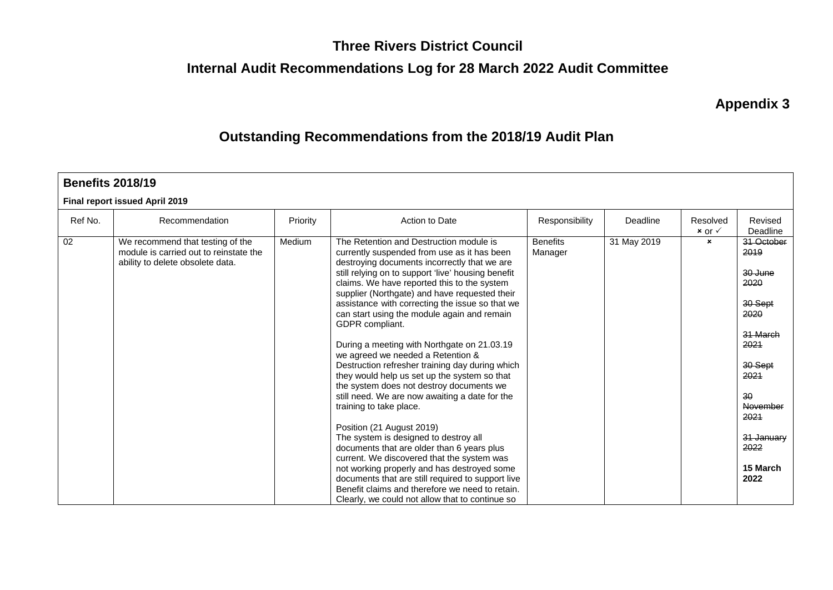### **Three Rivers District Council**

### **Internal Audit Recommendations Log for 28 March 2022 Audit Committee**

**Appendix 3**

### **Outstanding Recommendations from the 2018/19 Audit Plan**

| <b>Benefits 2018/19</b> |                                                                                                                |          |                                                                                                                                                                                                                                                                                                                                                                                                                                                                                                                                                                                                                                                                                                                                                                                                                                                                                                                                                                                                                                                                                                               |                            |             |                                 |                                                                                                                                                                     |  |  |  |  |  |
|-------------------------|----------------------------------------------------------------------------------------------------------------|----------|---------------------------------------------------------------------------------------------------------------------------------------------------------------------------------------------------------------------------------------------------------------------------------------------------------------------------------------------------------------------------------------------------------------------------------------------------------------------------------------------------------------------------------------------------------------------------------------------------------------------------------------------------------------------------------------------------------------------------------------------------------------------------------------------------------------------------------------------------------------------------------------------------------------------------------------------------------------------------------------------------------------------------------------------------------------------------------------------------------------|----------------------------|-------------|---------------------------------|---------------------------------------------------------------------------------------------------------------------------------------------------------------------|--|--|--|--|--|
|                         | Final report issued April 2019                                                                                 |          |                                                                                                                                                                                                                                                                                                                                                                                                                                                                                                                                                                                                                                                                                                                                                                                                                                                                                                                                                                                                                                                                                                               |                            |             |                                 |                                                                                                                                                                     |  |  |  |  |  |
| Ref No.                 | Recommendation                                                                                                 | Priority | Action to Date                                                                                                                                                                                                                                                                                                                                                                                                                                                                                                                                                                                                                                                                                                                                                                                                                                                                                                                                                                                                                                                                                                | Responsibility             | Deadline    | Resolved<br>$x$ or $\checkmark$ | Revised<br>Deadline                                                                                                                                                 |  |  |  |  |  |
| 02                      | We recommend that testing of the<br>module is carried out to reinstate the<br>ability to delete obsolete data. | Medium   | The Retention and Destruction module is<br>currently suspended from use as it has been<br>destroying documents incorrectly that we are<br>still relying on to support 'live' housing benefit<br>claims. We have reported this to the system<br>supplier (Northgate) and have requested their<br>assistance with correcting the issue so that we<br>can start using the module again and remain<br>GDPR compliant.<br>During a meeting with Northgate on 21.03.19<br>we agreed we needed a Retention &<br>Destruction refresher training day during which<br>they would help us set up the system so that<br>the system does not destroy documents we<br>still need. We are now awaiting a date for the<br>training to take place.<br>Position (21 August 2019)<br>The system is designed to destroy all<br>documents that are older than 6 years plus<br>current. We discovered that the system was<br>not working properly and has destroyed some<br>documents that are still required to support live<br>Benefit claims and therefore we need to retain.<br>Clearly, we could not allow that to continue so | <b>Benefits</b><br>Manager | 31 May 2019 | $\mathbf{x}$                    | 31 October<br>2019<br>30 June<br>2020<br>30 Sept<br>2020<br>31 March<br>2021<br>30 Sept<br>2021<br>30<br>November<br>2021<br>31 January<br>2022<br>15 March<br>2022 |  |  |  |  |  |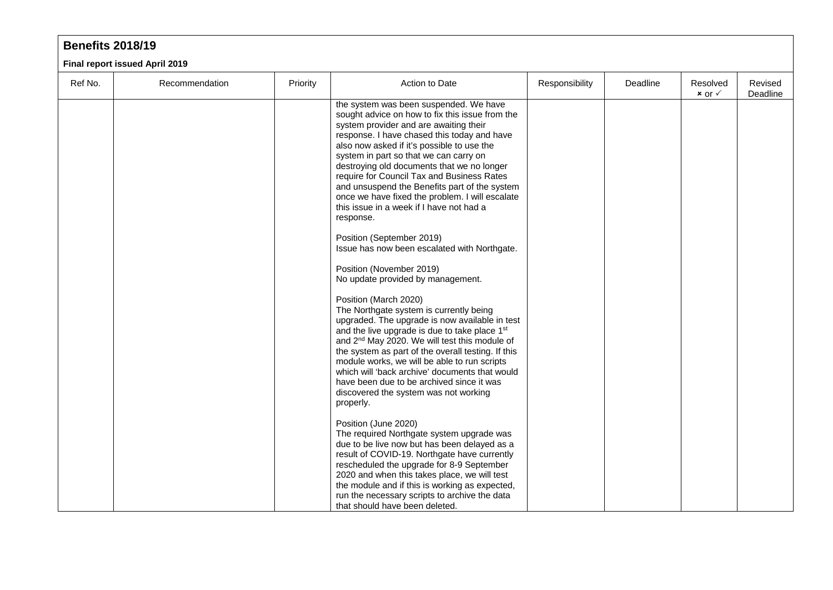|         | <b>Benefits 2018/19</b>        |          |                                                                                                                                                                                                                                                                                                                                                                                                                                                                                                                                                                                                                                                                                                                                                                                                                                                                                                                                                                             |                |          |                                 |                     |  |  |  |  |  |
|---------|--------------------------------|----------|-----------------------------------------------------------------------------------------------------------------------------------------------------------------------------------------------------------------------------------------------------------------------------------------------------------------------------------------------------------------------------------------------------------------------------------------------------------------------------------------------------------------------------------------------------------------------------------------------------------------------------------------------------------------------------------------------------------------------------------------------------------------------------------------------------------------------------------------------------------------------------------------------------------------------------------------------------------------------------|----------------|----------|---------------------------------|---------------------|--|--|--|--|--|
|         | Final report issued April 2019 |          |                                                                                                                                                                                                                                                                                                                                                                                                                                                                                                                                                                                                                                                                                                                                                                                                                                                                                                                                                                             |                |          |                                 |                     |  |  |  |  |  |
| Ref No. | Recommendation                 | Priority | Action to Date                                                                                                                                                                                                                                                                                                                                                                                                                                                                                                                                                                                                                                                                                                                                                                                                                                                                                                                                                              | Responsibility | Deadline | Resolved<br>$x$ or $\checkmark$ | Revised<br>Deadline |  |  |  |  |  |
|         |                                |          | the system was been suspended. We have<br>sought advice on how to fix this issue from the<br>system provider and are awaiting their<br>response. I have chased this today and have<br>also now asked if it's possible to use the<br>system in part so that we can carry on<br>destroying old documents that we no longer<br>require for Council Tax and Business Rates<br>and unsuspend the Benefits part of the system<br>once we have fixed the problem. I will escalate<br>this issue in a week if I have not had a<br>response.<br>Position (September 2019)<br>Issue has now been escalated with Northgate.<br>Position (November 2019)<br>No update provided by management.<br>Position (March 2020)<br>The Northgate system is currently being<br>upgraded. The upgrade is now available in test<br>and the live upgrade is due to take place 1st<br>and 2 <sup>nd</sup> May 2020. We will test this module of<br>the system as part of the overall testing. If this |                |          |                                 |                     |  |  |  |  |  |

module works, we will be able to run scripts which will 'back archive' documents that would have been due to be archived since it was discovered the system was not working

The required Northgate system upgrade was due to be live now but has been delayed as a result of COVID-19. Northgate have currently rescheduled the upgrade for 8-9 September 2020 and when this takes place, we will test the module and if this is working as expected, run the necessary scripts to archive the data

properly.

Position (June 2020)

that should have been deleted.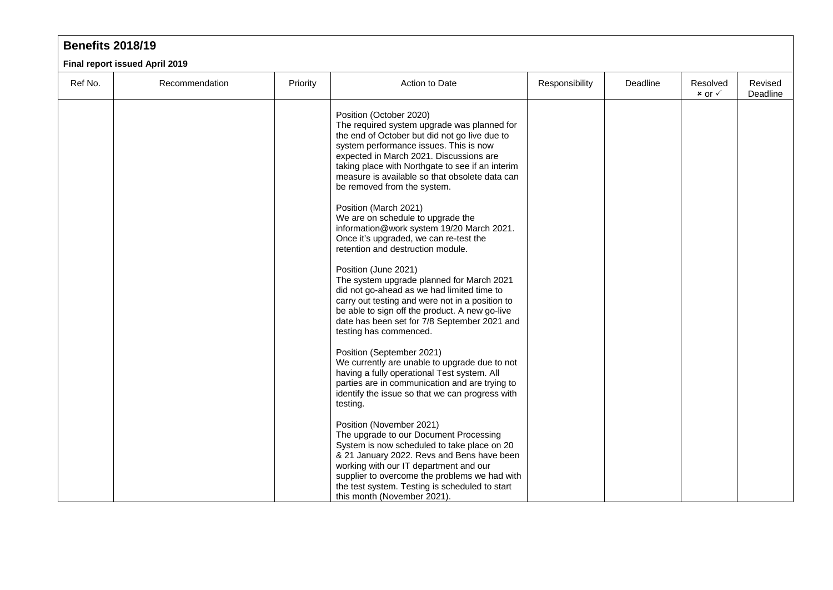| <b>Benefits 2018/19</b> |                                |          |                                                                                                                                                                                                                                                                                                                                                                            |                |          |                                 |                     |  |  |  |  |
|-------------------------|--------------------------------|----------|----------------------------------------------------------------------------------------------------------------------------------------------------------------------------------------------------------------------------------------------------------------------------------------------------------------------------------------------------------------------------|----------------|----------|---------------------------------|---------------------|--|--|--|--|
|                         | Final report issued April 2019 |          |                                                                                                                                                                                                                                                                                                                                                                            |                |          |                                 |                     |  |  |  |  |
| Ref No.                 | Recommendation                 | Priority | Action to Date                                                                                                                                                                                                                                                                                                                                                             | Responsibility | Deadline | Resolved<br>$x$ or $\checkmark$ | Revised<br>Deadline |  |  |  |  |
|                         |                                |          | Position (October 2020)<br>The required system upgrade was planned for<br>the end of October but did not go live due to<br>system performance issues. This is now<br>expected in March 2021. Discussions are<br>taking place with Northgate to see if an interim<br>measure is available so that obsolete data can<br>be removed from the system.<br>Position (March 2021) |                |          |                                 |                     |  |  |  |  |
|                         |                                |          | We are on schedule to upgrade the<br>information@work system 19/20 March 2021.<br>Once it's upgraded, we can re-test the<br>retention and destruction module.                                                                                                                                                                                                              |                |          |                                 |                     |  |  |  |  |
|                         |                                |          | Position (June 2021)<br>The system upgrade planned for March 2021<br>did not go-ahead as we had limited time to<br>carry out testing and were not in a position to<br>be able to sign off the product. A new go-live<br>date has been set for 7/8 September 2021 and<br>testing has commenced.                                                                             |                |          |                                 |                     |  |  |  |  |
|                         |                                |          | Position (September 2021)<br>We currently are unable to upgrade due to not<br>having a fully operational Test system. All<br>parties are in communication and are trying to<br>identify the issue so that we can progress with<br>testing.                                                                                                                                 |                |          |                                 |                     |  |  |  |  |
|                         |                                |          | Position (November 2021)<br>The upgrade to our Document Processing<br>System is now scheduled to take place on 20<br>& 21 January 2022. Revs and Bens have been<br>working with our IT department and our<br>supplier to overcome the problems we had with<br>the test system. Testing is scheduled to start<br>this month (November 2021).                                |                |          |                                 |                     |  |  |  |  |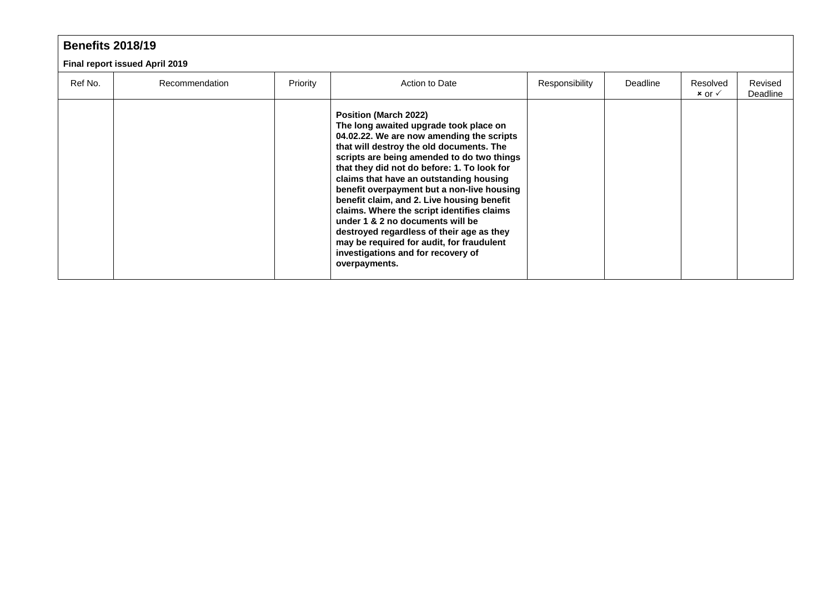|         | <b>Benefits 2018/19</b>               |          |                                                                                                                                                                                                                                                                                                                                                                                                                                                                                                                                                                                                                                 |                |          |                                 |                     |  |  |  |  |
|---------|---------------------------------------|----------|---------------------------------------------------------------------------------------------------------------------------------------------------------------------------------------------------------------------------------------------------------------------------------------------------------------------------------------------------------------------------------------------------------------------------------------------------------------------------------------------------------------------------------------------------------------------------------------------------------------------------------|----------------|----------|---------------------------------|---------------------|--|--|--|--|
|         | <b>Final report issued April 2019</b> |          |                                                                                                                                                                                                                                                                                                                                                                                                                                                                                                                                                                                                                                 |                |          |                                 |                     |  |  |  |  |
| Ref No. | Recommendation                        | Priority | Action to Date                                                                                                                                                                                                                                                                                                                                                                                                                                                                                                                                                                                                                  | Responsibility | Deadline | Resolved<br>$x$ or $\checkmark$ | Revised<br>Deadline |  |  |  |  |
|         |                                       |          | Position (March 2022)<br>The long awaited upgrade took place on<br>04.02.22. We are now amending the scripts<br>that will destroy the old documents. The<br>scripts are being amended to do two things<br>that they did not do before: 1. To look for<br>claims that have an outstanding housing<br>benefit overpayment but a non-live housing<br>benefit claim, and 2. Live housing benefit<br>claims. Where the script identifies claims<br>under 1 & 2 no documents will be<br>destroyed regardless of their age as they<br>may be required for audit, for fraudulent<br>investigations and for recovery of<br>overpayments. |                |          |                                 |                     |  |  |  |  |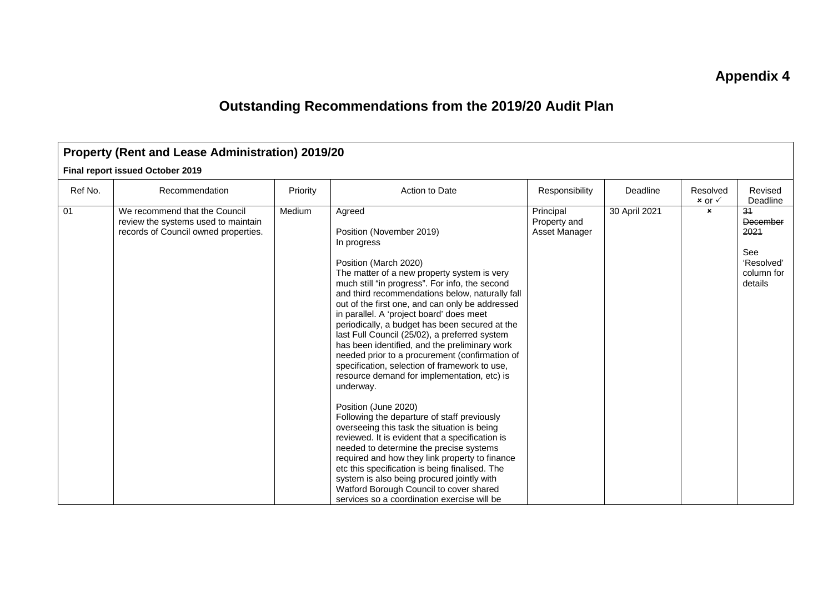### **Appendix 4**

## **Outstanding Recommendations from the 2019/20 Audit Plan**

| <b>Property (Rent and Lease Administration) 2019/20</b> |                                                                                                              |          |                                                                                                                                                                                                                                                                                                                                                                                                                                                                                                                                                                                                                                                                                                                                                                                                                                                                                                                                                                                                                                                                                                                  |                                            |               |                                 |                                                                      |  |  |  |  |
|---------------------------------------------------------|--------------------------------------------------------------------------------------------------------------|----------|------------------------------------------------------------------------------------------------------------------------------------------------------------------------------------------------------------------------------------------------------------------------------------------------------------------------------------------------------------------------------------------------------------------------------------------------------------------------------------------------------------------------------------------------------------------------------------------------------------------------------------------------------------------------------------------------------------------------------------------------------------------------------------------------------------------------------------------------------------------------------------------------------------------------------------------------------------------------------------------------------------------------------------------------------------------------------------------------------------------|--------------------------------------------|---------------|---------------------------------|----------------------------------------------------------------------|--|--|--|--|
|                                                         | Final report issued October 2019                                                                             |          |                                                                                                                                                                                                                                                                                                                                                                                                                                                                                                                                                                                                                                                                                                                                                                                                                                                                                                                                                                                                                                                                                                                  |                                            |               |                                 |                                                                      |  |  |  |  |
| Ref No.                                                 | Recommendation                                                                                               | Priority | Action to Date                                                                                                                                                                                                                                                                                                                                                                                                                                                                                                                                                                                                                                                                                                                                                                                                                                                                                                                                                                                                                                                                                                   | Responsibility                             | Deadline      | Resolved<br>$x$ or $\checkmark$ | Revised<br>Deadline                                                  |  |  |  |  |
| 01                                                      | We recommend that the Council<br>review the systems used to maintain<br>records of Council owned properties. | Medium   | Agreed<br>Position (November 2019)<br>In progress<br>Position (March 2020)<br>The matter of a new property system is very<br>much still "in progress". For info, the second<br>and third recommendations below, naturally fall<br>out of the first one, and can only be addressed<br>in parallel. A 'project board' does meet<br>periodically, a budget has been secured at the<br>last Full Council (25/02), a preferred system<br>has been identified, and the preliminary work<br>needed prior to a procurement (confirmation of<br>specification, selection of framework to use,<br>resource demand for implementation, etc) is<br>underway.<br>Position (June 2020)<br>Following the departure of staff previously<br>overseeing this task the situation is being<br>reviewed. It is evident that a specification is<br>needed to determine the precise systems<br>required and how they link property to finance<br>etc this specification is being finalised. The<br>system is also being procured jointly with<br>Watford Borough Council to cover shared<br>services so a coordination exercise will be | Principal<br>Property and<br>Asset Manager | 30 April 2021 | $\pmb{\times}$                  | 34<br>December<br>2021<br>See<br>'Resolved'<br>column for<br>details |  |  |  |  |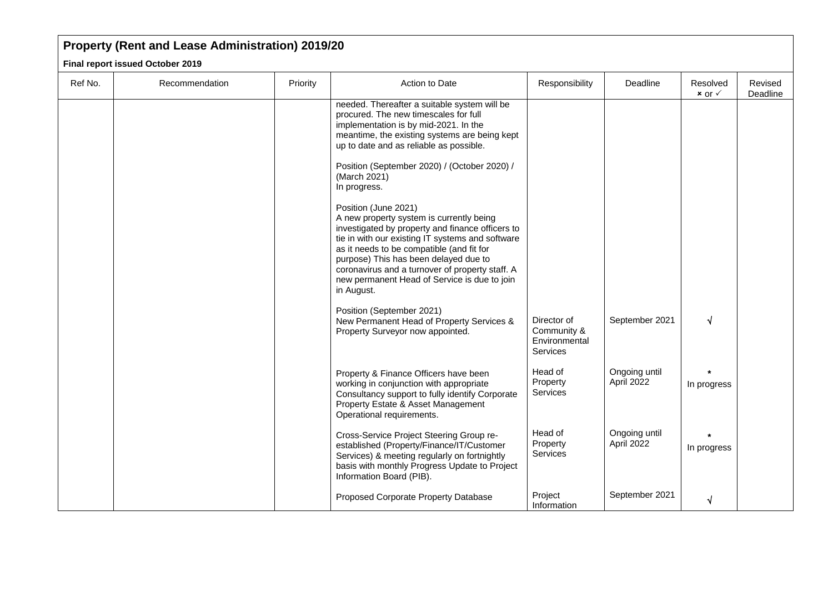| Ref No. | Recommendation | Priority | Action to Date                                                                                                                                                                                                                                                                                                                                                                  | Responsibility                                                 | Deadline                    | Resolved<br>$x$ or $\checkmark$ | Revised<br>Deadline |
|---------|----------------|----------|---------------------------------------------------------------------------------------------------------------------------------------------------------------------------------------------------------------------------------------------------------------------------------------------------------------------------------------------------------------------------------|----------------------------------------------------------------|-----------------------------|---------------------------------|---------------------|
|         |                |          | needed. Thereafter a suitable system will be<br>procured. The new timescales for full<br>implementation is by mid-2021. In the<br>meantime, the existing systems are being kept<br>up to date and as reliable as possible.<br>Position (September 2020) / (October 2020) /<br>(March 2021)<br>In progress.                                                                      |                                                                |                             |                                 |                     |
|         |                |          | Position (June 2021)<br>A new property system is currently being<br>investigated by property and finance officers to<br>tie in with our existing IT systems and software<br>as it needs to be compatible (and fit for<br>purpose) This has been delayed due to<br>coronavirus and a turnover of property staff. A<br>new permanent Head of Service is due to join<br>in August. |                                                                |                             |                                 |                     |
|         |                |          | Position (September 2021)<br>New Permanent Head of Property Services &<br>Property Surveyor now appointed.                                                                                                                                                                                                                                                                      | Director of<br>Community &<br>Environmental<br><b>Services</b> | September 2021              | √                               |                     |
|         |                |          | Property & Finance Officers have been<br>working in conjunction with appropriate<br>Consultancy support to fully identify Corporate<br>Property Estate & Asset Management<br>Operational requirements.                                                                                                                                                                          | Head of<br>Property<br><b>Services</b>                         | Ongoing until<br>April 2022 | In progress                     |                     |
|         |                |          | Cross-Service Project Steering Group re-<br>established (Property/Finance/IT/Customer<br>Services) & meeting regularly on fortnightly<br>basis with monthly Progress Update to Project<br>Information Board (PIB).                                                                                                                                                              | Head of<br>Property<br><b>Services</b>                         | Ongoing until<br>April 2022 | In progress                     |                     |
|         |                |          | Proposed Corporate Property Database                                                                                                                                                                                                                                                                                                                                            | Project<br>Information                                         | September 2021              | √                               |                     |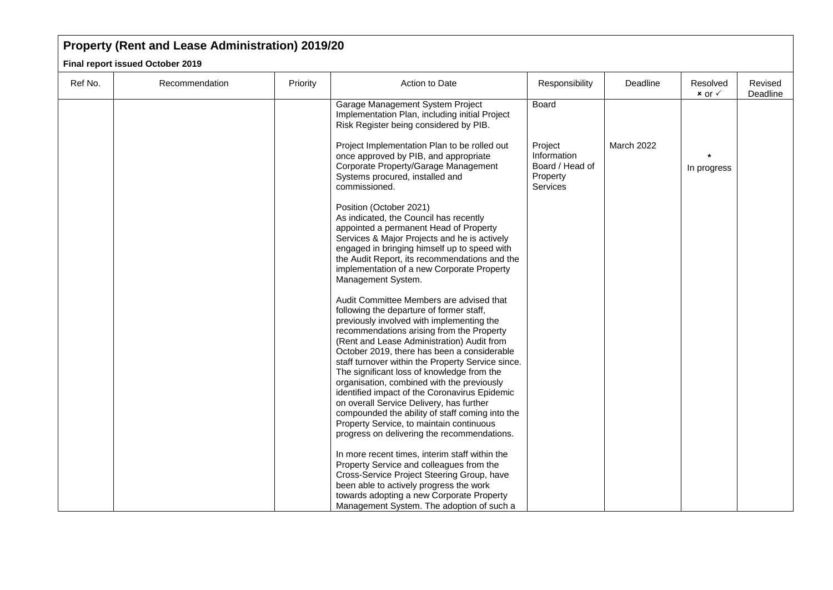| Ref No. | Recommendation | Priority | Action to Date                                                                                                                                                                                                                                                                                                                                                                                                                                                                                                                                                                                                                                                          | Responsibility                                                           | Deadline   | Resolved<br>$x$ or $\checkmark$ | Revised<br>Deadline |
|---------|----------------|----------|-------------------------------------------------------------------------------------------------------------------------------------------------------------------------------------------------------------------------------------------------------------------------------------------------------------------------------------------------------------------------------------------------------------------------------------------------------------------------------------------------------------------------------------------------------------------------------------------------------------------------------------------------------------------------|--------------------------------------------------------------------------|------------|---------------------------------|---------------------|
|         |                |          | Garage Management System Project<br>Implementation Plan, including initial Project<br>Risk Register being considered by PIB.                                                                                                                                                                                                                                                                                                                                                                                                                                                                                                                                            | <b>Board</b>                                                             |            |                                 |                     |
|         |                |          | Project Implementation Plan to be rolled out<br>once approved by PIB, and appropriate<br>Corporate Property/Garage Management<br>Systems procured, installed and<br>commissioned.                                                                                                                                                                                                                                                                                                                                                                                                                                                                                       | Project<br>Information<br>Board / Head of<br>Property<br><b>Services</b> | March 2022 | In progress                     |                     |
|         |                |          | Position (October 2021)<br>As indicated, the Council has recently<br>appointed a permanent Head of Property<br>Services & Major Projects and he is actively<br>engaged in bringing himself up to speed with<br>the Audit Report, its recommendations and the<br>implementation of a new Corporate Property<br>Management System.                                                                                                                                                                                                                                                                                                                                        |                                                                          |            |                                 |                     |
|         |                |          | Audit Committee Members are advised that<br>following the departure of former staff,<br>previously involved with implementing the<br>recommendations arising from the Property<br>(Rent and Lease Administration) Audit from<br>October 2019, there has been a considerable<br>staff turnover within the Property Service since.<br>The significant loss of knowledge from the<br>organisation, combined with the previously<br>identified impact of the Coronavirus Epidemic<br>on overall Service Delivery, has further<br>compounded the ability of staff coming into the<br>Property Service, to maintain continuous<br>progress on delivering the recommendations. |                                                                          |            |                                 |                     |
|         |                |          | In more recent times, interim staff within the<br>Property Service and colleagues from the<br>Cross-Service Project Steering Group, have<br>been able to actively progress the work<br>towards adopting a new Corporate Property<br>Management System. The adoption of such a                                                                                                                                                                                                                                                                                                                                                                                           |                                                                          |            |                                 |                     |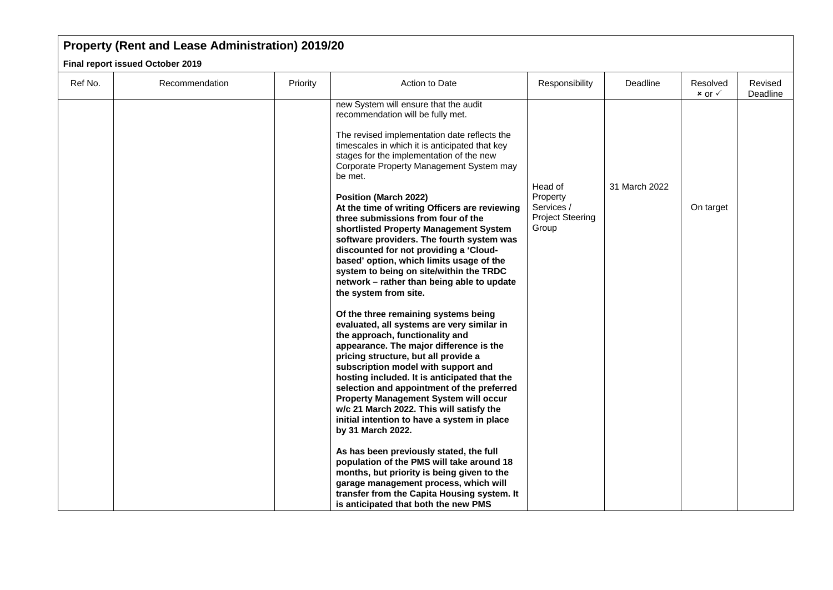| Ref No. | Recommendation | Priority | Action to Date                                                                                                                                                                                                                                                                                                                                                                                                                                                                                                                                                                                                                                                                                        | Responsibility                                                        | Deadline      | Resolved<br>$x$ or $\checkmark$ | Revised<br>Deadline |
|---------|----------------|----------|-------------------------------------------------------------------------------------------------------------------------------------------------------------------------------------------------------------------------------------------------------------------------------------------------------------------------------------------------------------------------------------------------------------------------------------------------------------------------------------------------------------------------------------------------------------------------------------------------------------------------------------------------------------------------------------------------------|-----------------------------------------------------------------------|---------------|---------------------------------|---------------------|
|         |                |          | new System will ensure that the audit<br>recommendation will be fully met.<br>The revised implementation date reflects the<br>timescales in which it is anticipated that key<br>stages for the implementation of the new<br>Corporate Property Management System may<br>be met.<br><b>Position (March 2022)</b><br>At the time of writing Officers are reviewing<br>three submissions from four of the<br>shortlisted Property Management System<br>software providers. The fourth system was<br>discounted for not providing a 'Cloud-<br>based' option, which limits usage of the<br>system to being on site/within the TRDC<br>network - rather than being able to update<br>the system from site. | Head of<br>Property<br>Services /<br><b>Project Steering</b><br>Group | 31 March 2022 | On target                       |                     |
|         |                |          | Of the three remaining systems being<br>evaluated, all systems are very similar in<br>the approach, functionality and<br>appearance. The major difference is the<br>pricing structure, but all provide a<br>subscription model with support and<br>hosting included. It is anticipated that the<br>selection and appointment of the preferred<br>Property Management System will occur<br>w/c 21 March 2022. This will satisfy the<br>initial intention to have a system in place<br>by 31 March 2022.<br>As has been previously stated, the full<br>population of the PMS will take around 18                                                                                                        |                                                                       |               |                                 |                     |
|         |                |          | months, but priority is being given to the<br>garage management process, which will<br>transfer from the Capita Housing system. It<br>is anticipated that both the new PMS                                                                                                                                                                                                                                                                                                                                                                                                                                                                                                                            |                                                                       |               |                                 |                     |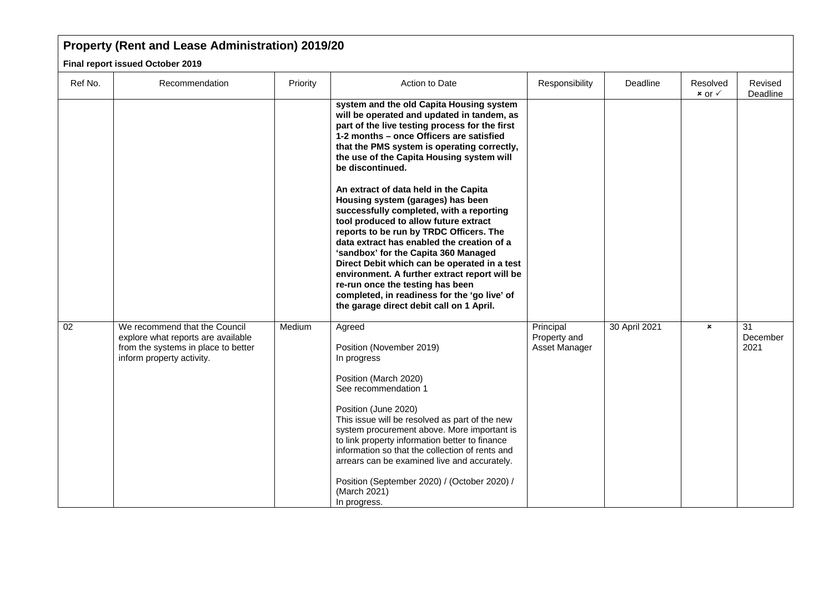| Ref No. | Recommendation                                                                                                                          | Priority | Action to Date                                                                                                                                                                                                                                                                                                                                                                                                                                                                                                                                                                                                                                                                                                                                                                                                                            | Responsibility                             | Deadline      | Resolved<br>$x$ or $\checkmark$ | Revised<br>Deadline    |
|---------|-----------------------------------------------------------------------------------------------------------------------------------------|----------|-------------------------------------------------------------------------------------------------------------------------------------------------------------------------------------------------------------------------------------------------------------------------------------------------------------------------------------------------------------------------------------------------------------------------------------------------------------------------------------------------------------------------------------------------------------------------------------------------------------------------------------------------------------------------------------------------------------------------------------------------------------------------------------------------------------------------------------------|--------------------------------------------|---------------|---------------------------------|------------------------|
|         |                                                                                                                                         |          | system and the old Capita Housing system<br>will be operated and updated in tandem, as<br>part of the live testing process for the first<br>1-2 months - once Officers are satisfied<br>that the PMS system is operating correctly,<br>the use of the Capita Housing system will<br>be discontinued.<br>An extract of data held in the Capita<br>Housing system (garages) has been<br>successfully completed, with a reporting<br>tool produced to allow future extract<br>reports to be run by TRDC Officers. The<br>data extract has enabled the creation of a<br>'sandbox' for the Capita 360 Managed<br>Direct Debit which can be operated in a test<br>environment. A further extract report will be<br>re-run once the testing has been<br>completed, in readiness for the 'go live' of<br>the garage direct debit call on 1 April. |                                            |               |                                 |                        |
| 02      | We recommend that the Council<br>explore what reports are available<br>from the systems in place to better<br>inform property activity. | Medium   | Agreed<br>Position (November 2019)<br>In progress<br>Position (March 2020)<br>See recommendation 1<br>Position (June 2020)<br>This issue will be resolved as part of the new<br>system procurement above. More important is<br>to link property information better to finance<br>information so that the collection of rents and<br>arrears can be examined live and accurately.<br>Position (September 2020) / (October 2020) /<br>(March 2021)<br>In progress.                                                                                                                                                                                                                                                                                                                                                                          | Principal<br>Property and<br>Asset Manager | 30 April 2021 | $\pmb{\times}$                  | 31<br>December<br>2021 |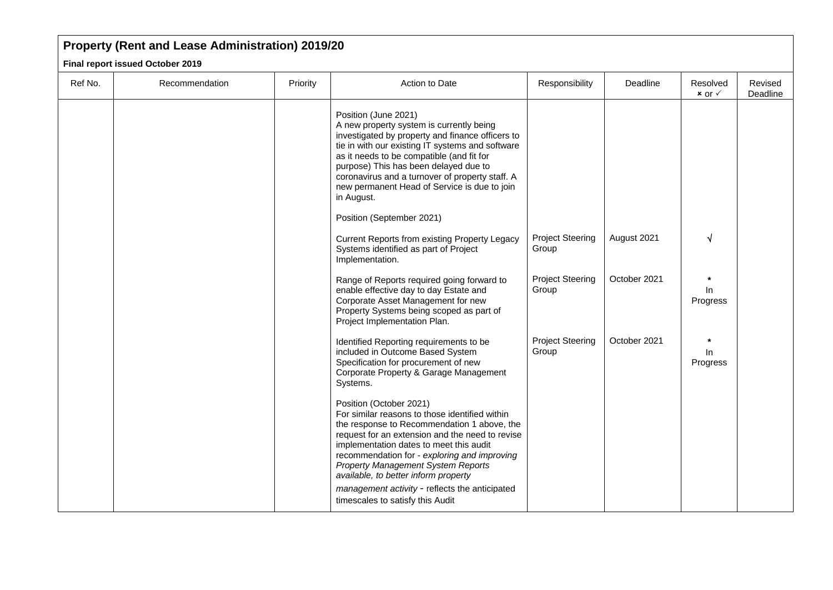| Ref No. | Recommendation | Priority | Action to Date                                                                                                                                                                                                                                                                                                                                                                                                                             | Responsibility                   | Deadline     | Resolved<br>$x$ or $\checkmark$ | Revised<br>Deadline |
|---------|----------------|----------|--------------------------------------------------------------------------------------------------------------------------------------------------------------------------------------------------------------------------------------------------------------------------------------------------------------------------------------------------------------------------------------------------------------------------------------------|----------------------------------|--------------|---------------------------------|---------------------|
|         |                |          | Position (June 2021)<br>A new property system is currently being<br>investigated by property and finance officers to<br>tie in with our existing IT systems and software<br>as it needs to be compatible (and fit for<br>purpose) This has been delayed due to<br>coronavirus and a turnover of property staff. A<br>new permanent Head of Service is due to join<br>in August.                                                            |                                  |              |                                 |                     |
|         |                |          | Position (September 2021)<br>Current Reports from existing Property Legacy<br>Systems identified as part of Project<br>Implementation.                                                                                                                                                                                                                                                                                                     | <b>Project Steering</b><br>Group | August 2021  |                                 |                     |
|         |                |          | Range of Reports required going forward to<br>enable effective day to day Estate and<br>Corporate Asset Management for new<br>Property Systems being scoped as part of<br>Project Implementation Plan.                                                                                                                                                                                                                                     | <b>Project Steering</b><br>Group | October 2021 | In.<br>Progress                 |                     |
|         |                |          | Identified Reporting requirements to be<br>included in Outcome Based System<br>Specification for procurement of new<br>Corporate Property & Garage Management<br>Systems.                                                                                                                                                                                                                                                                  | <b>Project Steering</b><br>Group | October 2021 | In.<br>Progress                 |                     |
|         |                |          | Position (October 2021)<br>For similar reasons to those identified within<br>the response to Recommendation 1 above, the<br>request for an extension and the need to revise<br>implementation dates to meet this audit<br>recommendation for - exploring and improving<br>Property Management System Reports<br>available, to better inform property<br>management activity - reflects the anticipated<br>timescales to satisfy this Audit |                                  |              |                                 |                     |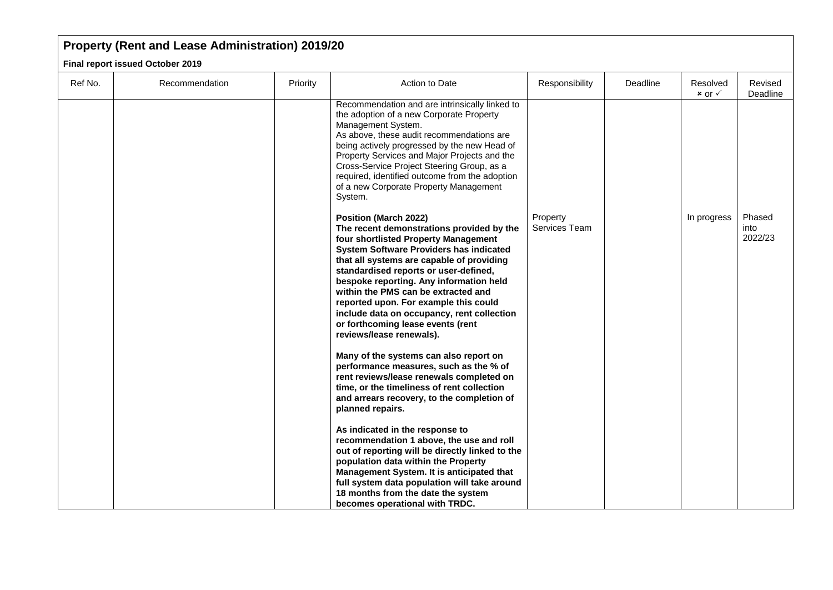| Ref No. | Recommendation | Priority | Action to Date                                                                                                                                                                                                                                                                                                                                                                                                                                                                                      | Responsibility            | Deadline | Resolved<br>$x$ or $\checkmark$ | Revised<br>Deadline       |
|---------|----------------|----------|-----------------------------------------------------------------------------------------------------------------------------------------------------------------------------------------------------------------------------------------------------------------------------------------------------------------------------------------------------------------------------------------------------------------------------------------------------------------------------------------------------|---------------------------|----------|---------------------------------|---------------------------|
|         |                |          | Recommendation and are intrinsically linked to<br>the adoption of a new Corporate Property<br>Management System.<br>As above, these audit recommendations are<br>being actively progressed by the new Head of<br>Property Services and Major Projects and the<br>Cross-Service Project Steering Group, as a<br>required, identified outcome from the adoption<br>of a new Corporate Property Management<br>System.                                                                                  |                           |          |                                 |                           |
|         |                |          | <b>Position (March 2022)</b><br>The recent demonstrations provided by the<br>four shortlisted Property Management<br><b>System Software Providers has indicated</b><br>that all systems are capable of providing<br>standardised reports or user-defined,<br>bespoke reporting. Any information held<br>within the PMS can be extracted and<br>reported upon. For example this could<br>include data on occupancy, rent collection<br>or forthcoming lease events (rent<br>reviews/lease renewals). | Property<br>Services Team |          | In progress                     | Phased<br>into<br>2022/23 |
|         |                |          | Many of the systems can also report on<br>performance measures, such as the % of<br>rent reviews/lease renewals completed on<br>time, or the timeliness of rent collection<br>and arrears recovery, to the completion of<br>planned repairs.                                                                                                                                                                                                                                                        |                           |          |                                 |                           |
|         |                |          | As indicated in the response to<br>recommendation 1 above, the use and roll<br>out of reporting will be directly linked to the<br>population data within the Property<br>Management System. It is anticipated that<br>full system data population will take around<br>18 months from the date the system<br>becomes operational with TRDC.                                                                                                                                                          |                           |          |                                 |                           |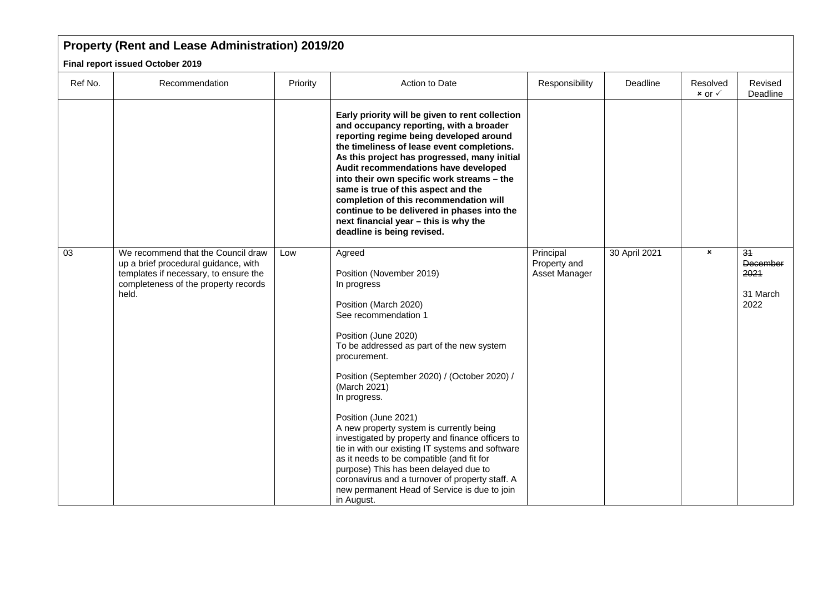| Ref No. | Recommendation                                                                                                                                                       | Priority | Action to Date                                                                                                                                                                                                                                                                                                                                                                                                                                                                                                                                                                                                                                             | Responsibility                             | Deadline      | Resolved<br>$x$ or $\checkmark$ | Revised<br>Deadline                                     |
|---------|----------------------------------------------------------------------------------------------------------------------------------------------------------------------|----------|------------------------------------------------------------------------------------------------------------------------------------------------------------------------------------------------------------------------------------------------------------------------------------------------------------------------------------------------------------------------------------------------------------------------------------------------------------------------------------------------------------------------------------------------------------------------------------------------------------------------------------------------------------|--------------------------------------------|---------------|---------------------------------|---------------------------------------------------------|
|         |                                                                                                                                                                      |          | Early priority will be given to rent collection<br>and occupancy reporting, with a broader<br>reporting regime being developed around<br>the timeliness of lease event completions.<br>As this project has progressed, many initial<br>Audit recommendations have developed<br>into their own specific work streams - the<br>same is true of this aspect and the<br>completion of this recommendation will<br>continue to be delivered in phases into the<br>next financial year - this is why the<br>deadline is being revised.                                                                                                                           |                                            |               |                                 |                                                         |
| 03      | We recommend that the Council draw<br>up a brief procedural guidance, with<br>templates if necessary, to ensure the<br>completeness of the property records<br>held. | Low      | Agreed<br>Position (November 2019)<br>In progress<br>Position (March 2020)<br>See recommendation 1<br>Position (June 2020)<br>To be addressed as part of the new system<br>procurement.<br>Position (September 2020) / (October 2020) /<br>(March 2021)<br>In progress.<br>Position (June 2021)<br>A new property system is currently being<br>investigated by property and finance officers to<br>tie in with our existing IT systems and software<br>as it needs to be compatible (and fit for<br>purpose) This has been delayed due to<br>coronavirus and a turnover of property staff. A<br>new permanent Head of Service is due to join<br>in August. | Principal<br>Property and<br>Asset Manager | 30 April 2021 | $\pmb{\times}$                  | $\overline{34}$<br>December<br>2021<br>31 March<br>2022 |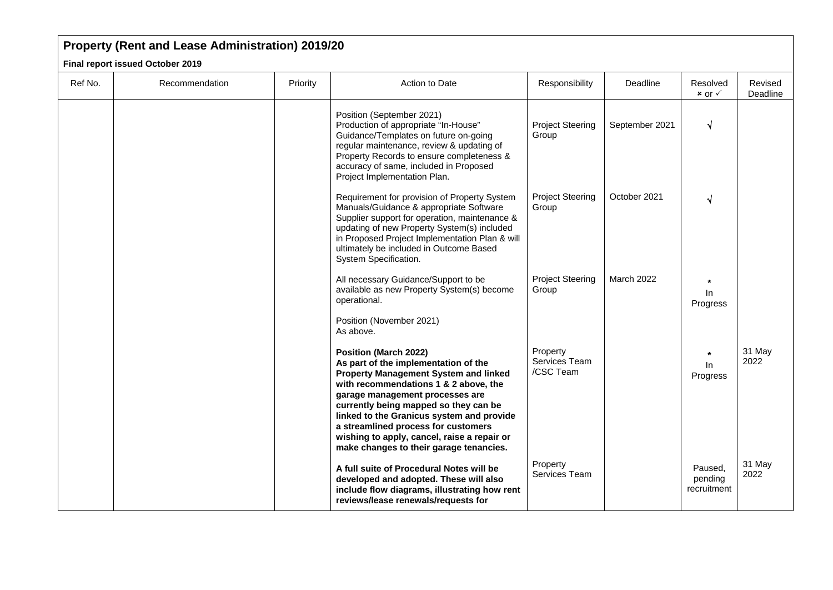| Ref No. | Recommendation | Priority | Action to Date                                                                                                                                                                                                                                                                                                                                                                                                          | Responsibility                         | Deadline       | Resolved<br>$x$ or $\checkmark$   | Revised<br>Deadline |
|---------|----------------|----------|-------------------------------------------------------------------------------------------------------------------------------------------------------------------------------------------------------------------------------------------------------------------------------------------------------------------------------------------------------------------------------------------------------------------------|----------------------------------------|----------------|-----------------------------------|---------------------|
|         |                |          | Position (September 2021)<br>Production of appropriate "In-House"<br>Guidance/Templates on future on-going<br>regular maintenance, review & updating of<br>Property Records to ensure completeness &<br>accuracy of same, included in Proposed<br>Project Implementation Plan.                                                                                                                                          | <b>Project Steering</b><br>Group       | September 2021 | √                                 |                     |
|         |                |          | Requirement for provision of Property System<br>Manuals/Guidance & appropriate Software<br>Supplier support for operation, maintenance &<br>updating of new Property System(s) included<br>in Proposed Project Implementation Plan & will<br>ultimately be included in Outcome Based<br>System Specification.                                                                                                           | <b>Project Steering</b><br>Group       | October 2021   | √                                 |                     |
|         |                |          | All necessary Guidance/Support to be<br>available as new Property System(s) become<br>operational.<br>Position (November 2021)<br>As above.                                                                                                                                                                                                                                                                             | <b>Project Steering</b><br>Group       | March 2022     | In<br>Progress                    |                     |
|         |                |          | <b>Position (March 2022)</b><br>As part of the implementation of the<br><b>Property Management System and linked</b><br>with recommendations 1 & 2 above, the<br>garage management processes are<br>currently being mapped so they can be<br>linked to the Granicus system and provide<br>a streamlined process for customers<br>wishing to apply, cancel, raise a repair or<br>make changes to their garage tenancies. | Property<br>Services Team<br>/CSC Team |                | $\ln$<br>Progress                 | 31 May<br>2022      |
|         |                |          | A full suite of Procedural Notes will be<br>developed and adopted. These will also<br>include flow diagrams, illustrating how rent<br>reviews/lease renewals/requests for                                                                                                                                                                                                                                               | Property<br>Services Team              |                | Paused,<br>pending<br>recruitment | 31 May<br>2022      |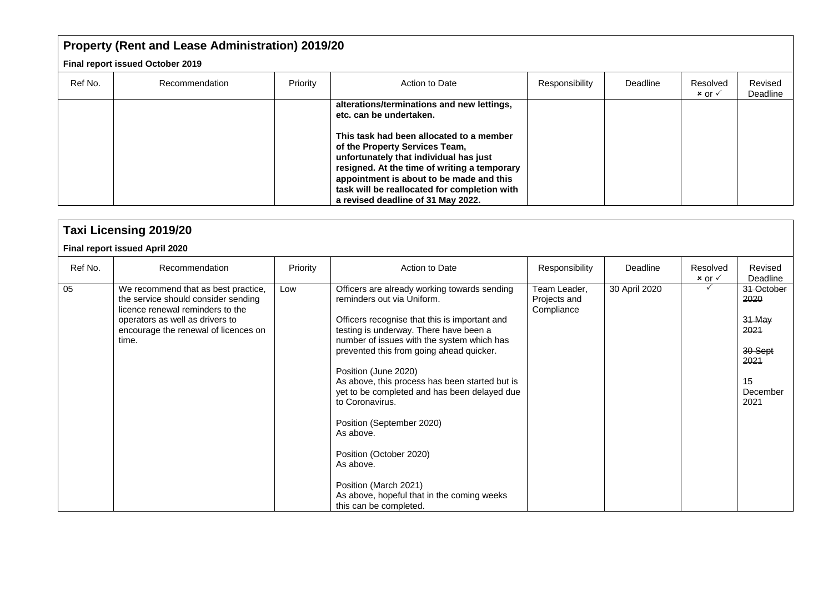| Ref No. | Recommendation | Priority | Action to Date                                                                                                                                                                                                                                                                                         | Responsibility | Deadline | Resolved<br>$x$ or $\checkmark$ | Revised<br>Deadline |
|---------|----------------|----------|--------------------------------------------------------------------------------------------------------------------------------------------------------------------------------------------------------------------------------------------------------------------------------------------------------|----------------|----------|---------------------------------|---------------------|
|         |                |          | alterations/terminations and new lettings,<br>etc. can be undertaken.                                                                                                                                                                                                                                  |                |          |                                 |                     |
|         |                |          | This task had been allocated to a member<br>of the Property Services Team,<br>unfortunately that individual has just<br>resigned. At the time of writing a temporary<br>appointment is about to be made and this<br>task will be reallocated for completion with<br>a revised deadline of 31 May 2022. |                |          |                                 |                     |

|         | <b>Taxi Licensing 2019/20</b>                                                                                                                                                                      |          |                                                                                                                                                                                                                                                                                                                                                                                                                                                                                                                                                                                                 |                                            |               |                                 |                                                                                   |  |  |  |  |  |
|---------|----------------------------------------------------------------------------------------------------------------------------------------------------------------------------------------------------|----------|-------------------------------------------------------------------------------------------------------------------------------------------------------------------------------------------------------------------------------------------------------------------------------------------------------------------------------------------------------------------------------------------------------------------------------------------------------------------------------------------------------------------------------------------------------------------------------------------------|--------------------------------------------|---------------|---------------------------------|-----------------------------------------------------------------------------------|--|--|--|--|--|
|         | Final report issued April 2020                                                                                                                                                                     |          |                                                                                                                                                                                                                                                                                                                                                                                                                                                                                                                                                                                                 |                                            |               |                                 |                                                                                   |  |  |  |  |  |
| Ref No. | Recommendation                                                                                                                                                                                     | Priority | Action to Date                                                                                                                                                                                                                                                                                                                                                                                                                                                                                                                                                                                  | Responsibility                             | Deadline      | Resolved<br>$x$ or $\checkmark$ | Revised<br>Deadline                                                               |  |  |  |  |  |
| 05      | We recommend that as best practice,<br>the service should consider sending<br>licence renewal reminders to the<br>operators as well as drivers to<br>encourage the renewal of licences on<br>time. | Low      | Officers are already working towards sending<br>reminders out via Uniform.<br>Officers recognise that this is important and<br>testing is underway. There have been a<br>number of issues with the system which has<br>prevented this from going ahead quicker.<br>Position (June 2020)<br>As above, this process has been started but is<br>yet to be completed and has been delayed due<br>to Coronavirus.<br>Position (September 2020)<br>As above.<br>Position (October 2020)<br>As above.<br>Position (March 2021)<br>As above, hopeful that in the coming weeks<br>this can be completed. | Team Leader,<br>Projects and<br>Compliance | 30 April 2020 |                                 | 31 October<br>2020<br>31 May<br>2021<br>30-Sept<br>2021<br>15<br>December<br>2021 |  |  |  |  |  |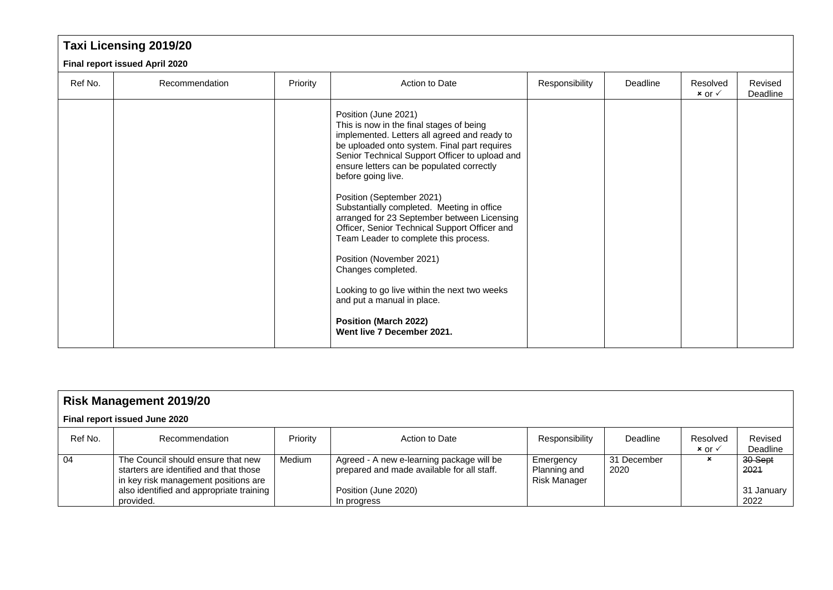|         | <b>Taxi Licensing 2019/20</b>  |          |                                                                                                                                                                                                                                                                                                                                                                                                                                                                                                                                                                                                                                                                                                         |                |          |                                 |                     |  |  |  |  |
|---------|--------------------------------|----------|---------------------------------------------------------------------------------------------------------------------------------------------------------------------------------------------------------------------------------------------------------------------------------------------------------------------------------------------------------------------------------------------------------------------------------------------------------------------------------------------------------------------------------------------------------------------------------------------------------------------------------------------------------------------------------------------------------|----------------|----------|---------------------------------|---------------------|--|--|--|--|
|         | Final report issued April 2020 |          |                                                                                                                                                                                                                                                                                                                                                                                                                                                                                                                                                                                                                                                                                                         |                |          |                                 |                     |  |  |  |  |
| Ref No. | Recommendation                 | Priority | Action to Date                                                                                                                                                                                                                                                                                                                                                                                                                                                                                                                                                                                                                                                                                          | Responsibility | Deadline | Resolved<br>$x$ or $\checkmark$ | Revised<br>Deadline |  |  |  |  |
|         |                                |          | Position (June 2021)<br>This is now in the final stages of being<br>implemented. Letters all agreed and ready to<br>be uploaded onto system. Final part requires<br>Senior Technical Support Officer to upload and<br>ensure letters can be populated correctly<br>before going live.<br>Position (September 2021)<br>Substantially completed. Meeting in office<br>arranged for 23 September between Licensing<br>Officer, Senior Technical Support Officer and<br>Team Leader to complete this process.<br>Position (November 2021)<br>Changes completed.<br>Looking to go live within the next two weeks<br>and put a manual in place.<br><b>Position (March 2022)</b><br>Went live 7 December 2021. |                |          |                                 |                     |  |  |  |  |

| <b>Risk Management 2019/20</b> |                                                                                                                                                                               |          |                                                                                                                                |                                           |                     |                                 |                                        |  |  |  |
|--------------------------------|-------------------------------------------------------------------------------------------------------------------------------------------------------------------------------|----------|--------------------------------------------------------------------------------------------------------------------------------|-------------------------------------------|---------------------|---------------------------------|----------------------------------------|--|--|--|
| Final report issued June 2020  |                                                                                                                                                                               |          |                                                                                                                                |                                           |                     |                                 |                                        |  |  |  |
| Ref No.                        | Recommendation                                                                                                                                                                | Priority | Action to Date                                                                                                                 | Responsibility                            | Deadline            | Resolved<br>$x$ or $\checkmark$ | Revised<br>Deadline                    |  |  |  |
| 04                             | The Council should ensure that new<br>starters are identified and that those<br>in key risk management positions are<br>also identified and appropriate training<br>provided. | Medium   | Agreed - A new e-learning package will be<br>prepared and made available for all staff.<br>Position (June 2020)<br>In progress | Emergency<br>Planning and<br>Risk Manager | 31 December<br>2020 | $\boldsymbol{\mathsf{x}}$       | 30-Sept<br>-2021<br>31 January<br>2022 |  |  |  |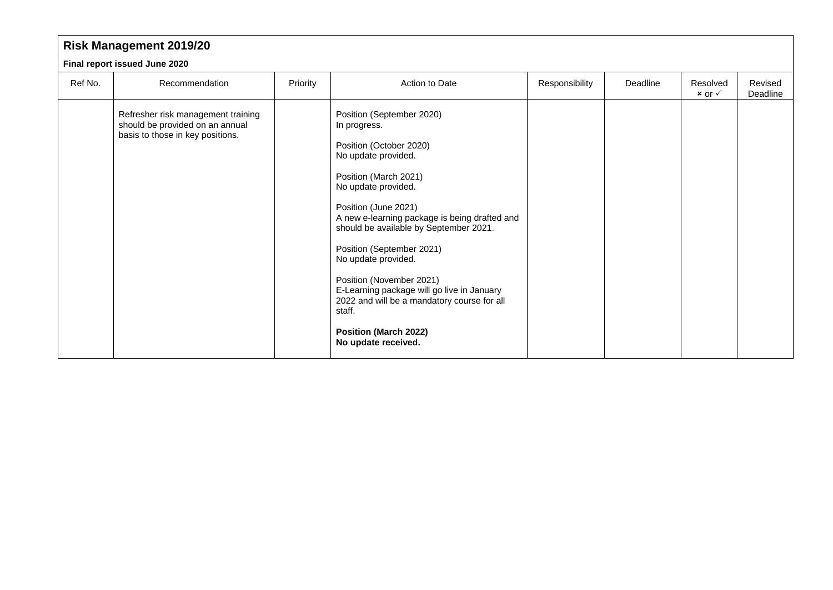|                               | <b>Risk Management 2019/20</b>                                                                            |          |                                                                                                                                                                                                                                                                                                                                                                                                                                                                                                              |                |          |                                 |                     |  |  |  |  |
|-------------------------------|-----------------------------------------------------------------------------------------------------------|----------|--------------------------------------------------------------------------------------------------------------------------------------------------------------------------------------------------------------------------------------------------------------------------------------------------------------------------------------------------------------------------------------------------------------------------------------------------------------------------------------------------------------|----------------|----------|---------------------------------|---------------------|--|--|--|--|
| Final report issued June 2020 |                                                                                                           |          |                                                                                                                                                                                                                                                                                                                                                                                                                                                                                                              |                |          |                                 |                     |  |  |  |  |
| Ref No.                       | Recommendation                                                                                            | Priority | Action to Date                                                                                                                                                                                                                                                                                                                                                                                                                                                                                               | Responsibility | Deadline | Resolved<br>$x$ or $\checkmark$ | Revised<br>Deadline |  |  |  |  |
|                               | Refresher risk management training<br>should be provided on an annual<br>basis to those in key positions. |          | Position (September 2020)<br>In progress.<br>Position (October 2020)<br>No update provided.<br>Position (March 2021)<br>No update provided.<br>Position (June 2021)<br>A new e-learning package is being drafted and<br>should be available by September 2021.<br>Position (September 2021)<br>No update provided.<br>Position (November 2021)<br>E-Learning package will go live in January<br>2022 and will be a mandatory course for all<br>staff.<br><b>Position (March 2022)</b><br>No update received. |                |          |                                 |                     |  |  |  |  |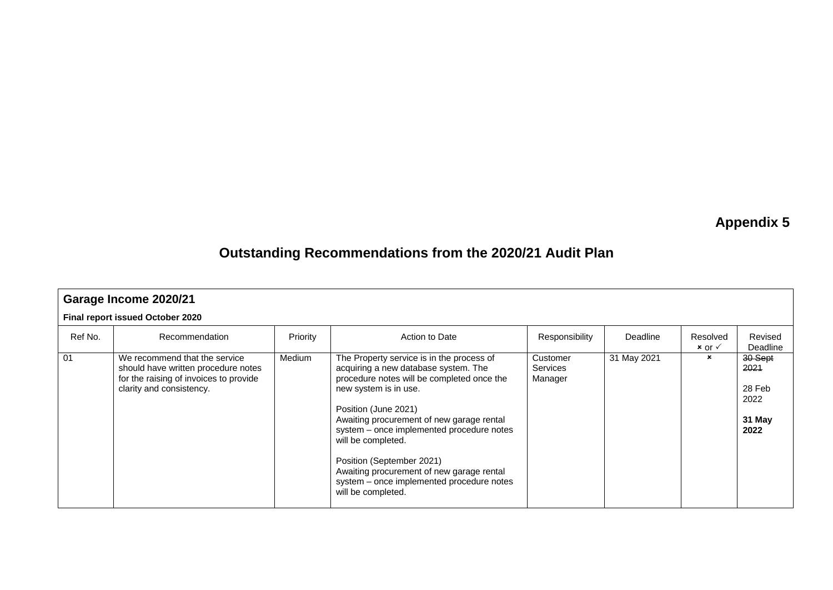# **Appendix 5**

## **Outstanding Recommendations from the 2020/21 Audit Plan**

|                                  | Garage Income 2020/21                                                                                                                      |               |                                                                                                                                                                                                                                                                                                                                                                                                                                               |                                        |             |                                 |                                                     |  |  |  |  |
|----------------------------------|--------------------------------------------------------------------------------------------------------------------------------------------|---------------|-----------------------------------------------------------------------------------------------------------------------------------------------------------------------------------------------------------------------------------------------------------------------------------------------------------------------------------------------------------------------------------------------------------------------------------------------|----------------------------------------|-------------|---------------------------------|-----------------------------------------------------|--|--|--|--|
| Final report issued October 2020 |                                                                                                                                            |               |                                                                                                                                                                                                                                                                                                                                                                                                                                               |                                        |             |                                 |                                                     |  |  |  |  |
| Ref No.                          | Recommendation                                                                                                                             | Priority      | Action to Date                                                                                                                                                                                                                                                                                                                                                                                                                                | Responsibility                         | Deadline    | Resolved<br>$x$ or $\checkmark$ | Revised<br>Deadline                                 |  |  |  |  |
| 01                               | We recommend that the service<br>should have written procedure notes<br>for the raising of invoices to provide<br>clarity and consistency. | <b>Medium</b> | The Property service is in the process of<br>acquiring a new database system. The<br>procedure notes will be completed once the<br>new system is in use.<br>Position (June 2021)<br>Awaiting procurement of new garage rental<br>system – once implemented procedure notes<br>will be completed.<br>Position (September 2021)<br>Awaiting procurement of new garage rental<br>system – once implemented procedure notes<br>will be completed. | Customer<br><b>Services</b><br>Manager | 31 May 2021 | ×                               | 30-Sept<br>2021<br>28 Feb<br>2022<br>31 May<br>2022 |  |  |  |  |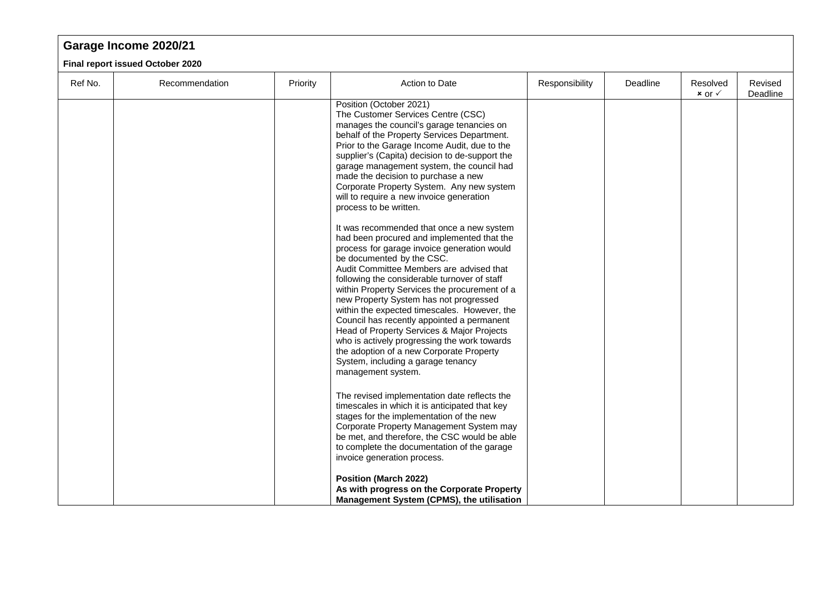#### **Garage Income 2020/21 Final report issued October 2020** Ref No. | Recommendation | Priority | Action to Date | Responsibility | Deadline | Resolved  $x$  or  $\checkmark$ Revised Deadline Position (October 2021) The Customer Services Centre (CSC) manages the council's garage tenancies on behalf of the Property Services Department. Prior to the Garage Income Audit, due to the supplier's (Capita) decision to de-support the garage management system, the council had made the decision to purchase a new Corporate Property System. Any new system will to require a new invoice generation process to be written. It was recommended that once a new system had been procured and implemented that the process for garage invoice generation would be documented by the CSC. Audit Committee Members are advised that following the considerable turnover of staff within Property Services the procurement of a new Property System has not progressed within the expected timescales. However, the Council has recently appointed a permanent Head of Property Services & Major Projects who is actively progressing the work towards the adoption of a new Corporate Property

System, including a garage tenancy

The revised implementation date reflects the timescales in which it is anticipated that key stages for the implementation of the new Corporate Property Management System may be met, and therefore, the CSC would be able to complete the documentation of the garage

**As with progress on the Corporate Property Management System (CPMS), the utilisation** 

management system.

invoice generation process.

**Position (March 2022)**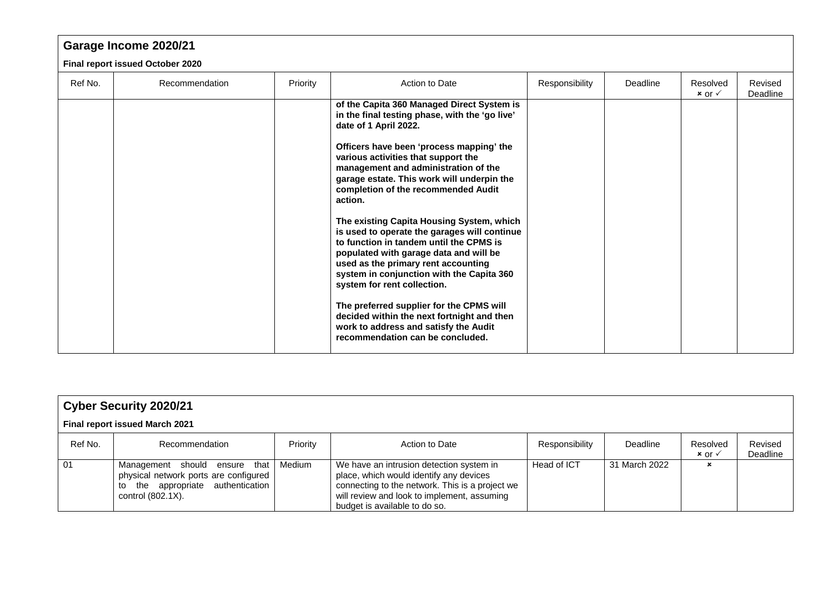|         | Garage Income 2020/21            |          |                                                                                                                                                                                                                                                                                                                                                                                                                                                                                                                                                                                                                                                                                                                                                                                                                              |                |          |                                 |                     |  |  |  |  |  |
|---------|----------------------------------|----------|------------------------------------------------------------------------------------------------------------------------------------------------------------------------------------------------------------------------------------------------------------------------------------------------------------------------------------------------------------------------------------------------------------------------------------------------------------------------------------------------------------------------------------------------------------------------------------------------------------------------------------------------------------------------------------------------------------------------------------------------------------------------------------------------------------------------------|----------------|----------|---------------------------------|---------------------|--|--|--|--|--|
|         | Final report issued October 2020 |          |                                                                                                                                                                                                                                                                                                                                                                                                                                                                                                                                                                                                                                                                                                                                                                                                                              |                |          |                                 |                     |  |  |  |  |  |
| Ref No. | Recommendation                   | Priority | Action to Date                                                                                                                                                                                                                                                                                                                                                                                                                                                                                                                                                                                                                                                                                                                                                                                                               | Responsibility | Deadline | Resolved<br>$x$ or $\checkmark$ | Revised<br>Deadline |  |  |  |  |  |
|         |                                  |          | of the Capita 360 Managed Direct System is<br>in the final testing phase, with the 'go live'<br>date of 1 April 2022.<br>Officers have been 'process mapping' the<br>various activities that support the<br>management and administration of the<br>garage estate. This work will underpin the<br>completion of the recommended Audit<br>action.<br>The existing Capita Housing System, which<br>is used to operate the garages will continue<br>to function in tandem until the CPMS is<br>populated with garage data and will be<br>used as the primary rent accounting<br>system in conjunction with the Capita 360<br>system for rent collection.<br>The preferred supplier for the CPMS will<br>decided within the next fortnight and then<br>work to address and satisfy the Audit<br>recommendation can be concluded. |                |          |                                 |                     |  |  |  |  |  |

| <b>Cyber Security 2020/21</b> |                                                                                                                                               |          |                                                                                                                                                                                                                        |                |               |                                 |                     |  |  |  |
|-------------------------------|-----------------------------------------------------------------------------------------------------------------------------------------------|----------|------------------------------------------------------------------------------------------------------------------------------------------------------------------------------------------------------------------------|----------------|---------------|---------------------------------|---------------------|--|--|--|
|                               | Final report issued March 2021                                                                                                                |          |                                                                                                                                                                                                                        |                |               |                                 |                     |  |  |  |
| Ref No.                       | Recommendation                                                                                                                                | Priority | Action to Date                                                                                                                                                                                                         | Responsibility | Deadline      | Resolved<br>$x$ or $\checkmark$ | Revised<br>Deadline |  |  |  |
| 01                            | Management should ensure that Medium<br>physical network ports are configured<br>the appropriate authentication<br>to<br>control $(802.1X)$ . |          | We have an intrusion detection system in<br>place, which would identify any devices<br>connecting to the network. This is a project we<br>will review and look to implement, assuming<br>budget is available to do so. | Head of ICT    | 31 March 2022 | ×                               |                     |  |  |  |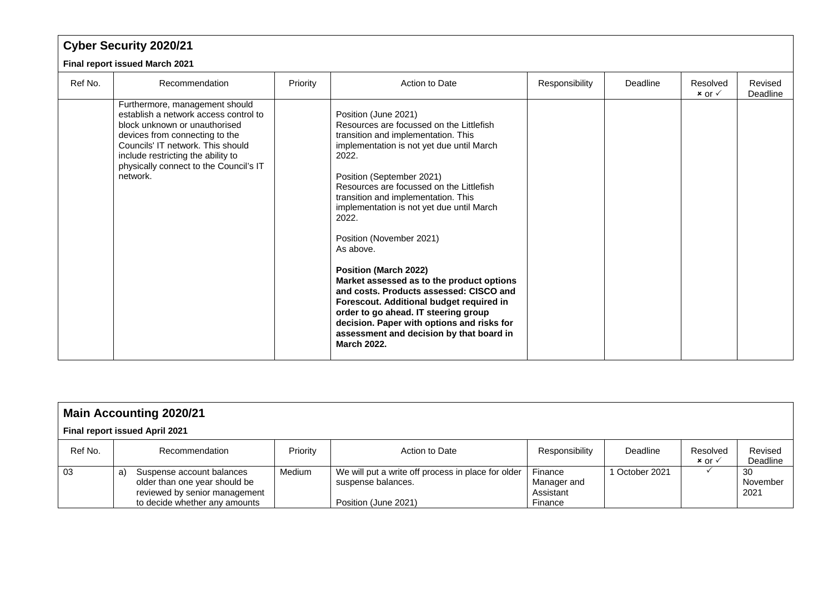| <b>Cyber Security 2020/21</b>  |                                                                                                                                                                                                                                                                             |          |                                                                                                                                                                                                                                                                                                                                                                                                                                                                                                                                                                                                                                                                                                          |                |          |                                 |                     |  |  |  |
|--------------------------------|-----------------------------------------------------------------------------------------------------------------------------------------------------------------------------------------------------------------------------------------------------------------------------|----------|----------------------------------------------------------------------------------------------------------------------------------------------------------------------------------------------------------------------------------------------------------------------------------------------------------------------------------------------------------------------------------------------------------------------------------------------------------------------------------------------------------------------------------------------------------------------------------------------------------------------------------------------------------------------------------------------------------|----------------|----------|---------------------------------|---------------------|--|--|--|
| Final report issued March 2021 |                                                                                                                                                                                                                                                                             |          |                                                                                                                                                                                                                                                                                                                                                                                                                                                                                                                                                                                                                                                                                                          |                |          |                                 |                     |  |  |  |
| Ref No.                        | Recommendation                                                                                                                                                                                                                                                              | Priority | Action to Date                                                                                                                                                                                                                                                                                                                                                                                                                                                                                                                                                                                                                                                                                           | Responsibility | Deadline | Resolved<br>$x$ or $\checkmark$ | Revised<br>Deadline |  |  |  |
|                                | Furthermore, management should<br>establish a network access control to<br>block unknown or unauthorised<br>devices from connecting to the<br>Councils' IT network. This should<br>include restricting the ability to<br>physically connect to the Council's IT<br>network. |          | Position (June 2021)<br>Resources are focussed on the Littlefish<br>transition and implementation. This<br>implementation is not yet due until March<br>2022.<br>Position (September 2021)<br>Resources are focussed on the Littlefish<br>transition and implementation. This<br>implementation is not yet due until March<br>2022.<br>Position (November 2021)<br>As above.<br><b>Position (March 2022)</b><br>Market assessed as to the product options<br>and costs. Products assessed: CISCO and<br>Forescout. Additional budget required in<br>order to go ahead. IT steering group<br>decision. Paper with options and risks for<br>assessment and decision by that board in<br><b>March 2022.</b> |                |          |                                 |                     |  |  |  |

| <b>Main Accounting 2020/21</b> |                                                                                                                                    |          |                                                                                                  |                                                |              |                                 |                         |  |  |  |
|--------------------------------|------------------------------------------------------------------------------------------------------------------------------------|----------|--------------------------------------------------------------------------------------------------|------------------------------------------------|--------------|---------------------------------|-------------------------|--|--|--|
|                                | <b>Final report issued April 2021</b>                                                                                              |          |                                                                                                  |                                                |              |                                 |                         |  |  |  |
| Ref No.                        | Recommendation                                                                                                                     | Priority | Action to Date                                                                                   | Responsibility                                 | Deadline     | Resolved<br>$x$ or $\checkmark$ | Revised<br>Deadline     |  |  |  |
| 03                             | Suspense account balances<br>a)<br>older than one year should be<br>reviewed by senior management<br>to decide whether any amounts | Medium   | We will put a write off process in place for older<br>suspense balances.<br>Position (June 2021) | Finance<br>Manager and<br>Assistant<br>Finance | October 2021 |                                 | -30<br>November<br>2021 |  |  |  |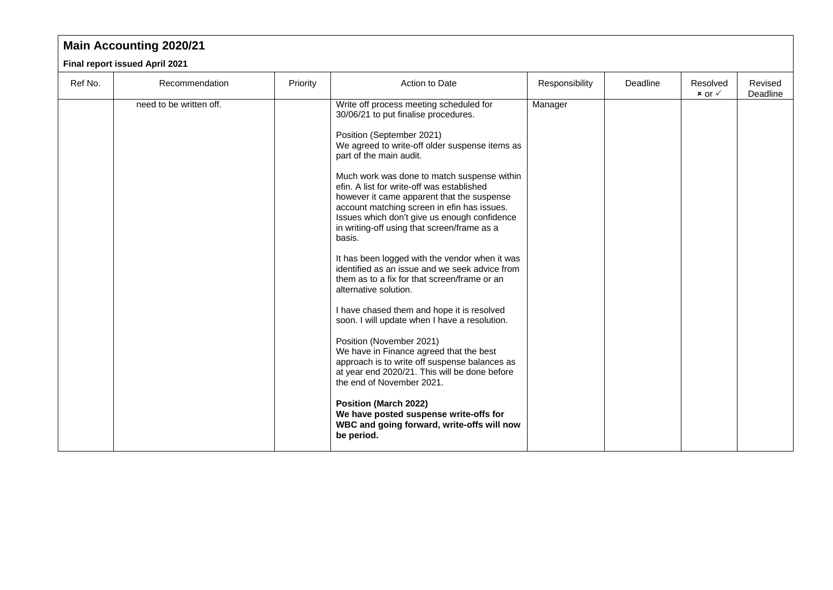### **Main Accounting 2020/21**

#### **Final report issued April 2021**

| Ref No. | Recommendation          | Priority | Action to Date                                                                                                                                                                                                                                                                                                                                                                                                                                                                                                                                                                                                                                                                                                                                                                                                                                                                                                                                                                                                                                                                                                       | Responsibility | Deadline | Resolved<br>$x$ or $\checkmark$ | Revised<br>Deadline |
|---------|-------------------------|----------|----------------------------------------------------------------------------------------------------------------------------------------------------------------------------------------------------------------------------------------------------------------------------------------------------------------------------------------------------------------------------------------------------------------------------------------------------------------------------------------------------------------------------------------------------------------------------------------------------------------------------------------------------------------------------------------------------------------------------------------------------------------------------------------------------------------------------------------------------------------------------------------------------------------------------------------------------------------------------------------------------------------------------------------------------------------------------------------------------------------------|----------------|----------|---------------------------------|---------------------|
|         | need to be written off. |          | Write off process meeting scheduled for<br>30/06/21 to put finalise procedures.<br>Position (September 2021)<br>We agreed to write-off older suspense items as<br>part of the main audit.<br>Much work was done to match suspense within<br>efin. A list for write-off was established<br>however it came apparent that the suspense<br>account matching screen in efin has issues.<br>Issues which don't give us enough confidence<br>in writing-off using that screen/frame as a<br>basis.<br>It has been logged with the vendor when it was<br>identified as an issue and we seek advice from<br>them as to a fix for that screen/frame or an<br>alternative solution.<br>I have chased them and hope it is resolved<br>soon. I will update when I have a resolution.<br>Position (November 2021)<br>We have in Finance agreed that the best<br>approach is to write off suspense balances as<br>at year end 2020/21. This will be done before<br>the end of November 2021.<br><b>Position (March 2022)</b><br>We have posted suspense write-offs for<br>WBC and going forward, write-offs will now<br>be period. | Manager        |          |                                 |                     |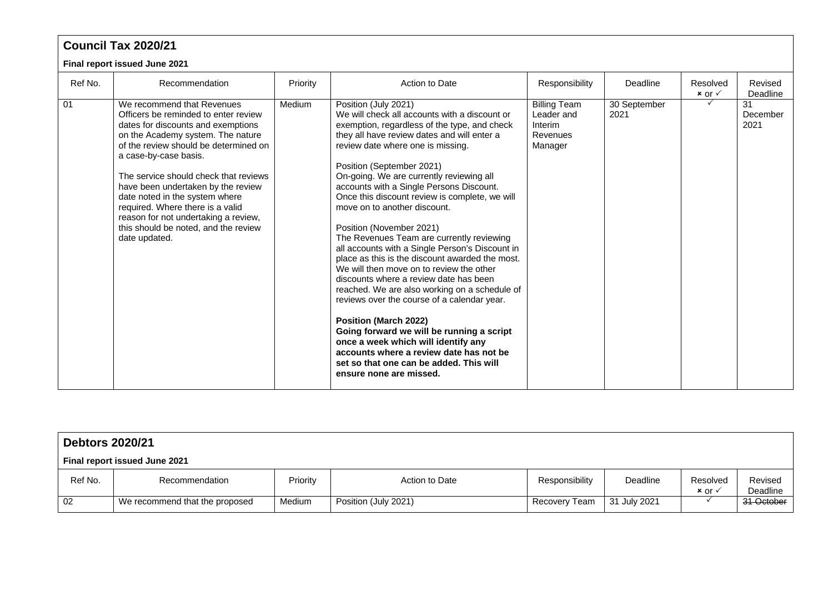### **Council Tax 2020/21**

#### **Final report issued June 2021**

| Ref No. | Recommendation                                                                                                                                                                                                                                                                                                                                                                                                                                                        | Priority | Action to Date                                                                                                                                                                                                                                                                                                                                                                                                                                                                                                                                                                                                                                                                                                                                                                                                                                                                                                                                                                                                             | Responsibility                                                      | Deadline             | Resolved<br>$x$ or $\checkmark$ | Revised<br>Deadline    |
|---------|-----------------------------------------------------------------------------------------------------------------------------------------------------------------------------------------------------------------------------------------------------------------------------------------------------------------------------------------------------------------------------------------------------------------------------------------------------------------------|----------|----------------------------------------------------------------------------------------------------------------------------------------------------------------------------------------------------------------------------------------------------------------------------------------------------------------------------------------------------------------------------------------------------------------------------------------------------------------------------------------------------------------------------------------------------------------------------------------------------------------------------------------------------------------------------------------------------------------------------------------------------------------------------------------------------------------------------------------------------------------------------------------------------------------------------------------------------------------------------------------------------------------------------|---------------------------------------------------------------------|----------------------|---------------------------------|------------------------|
| 01      | We recommend that Revenues<br>Officers be reminded to enter review<br>dates for discounts and exemptions<br>on the Academy system. The nature<br>of the review should be determined on<br>a case-by-case basis.<br>The service should check that reviews<br>have been undertaken by the review<br>date noted in the system where<br>required. Where there is a valid<br>reason for not undertaking a review,<br>this should be noted, and the review<br>date updated. | Medium   | Position (July 2021)<br>We will check all accounts with a discount or<br>exemption, regardless of the type, and check<br>they all have review dates and will enter a<br>review date where one is missing.<br>Position (September 2021)<br>On-going. We are currently reviewing all<br>accounts with a Single Persons Discount.<br>Once this discount review is complete, we will<br>move on to another discount.<br>Position (November 2021)<br>The Revenues Team are currently reviewing<br>all accounts with a Single Person's Discount in<br>place as this is the discount awarded the most.<br>We will then move on to review the other<br>discounts where a review date has been<br>reached. We are also working on a schedule of<br>reviews over the course of a calendar year.<br><b>Position (March 2022)</b><br>Going forward we will be running a script<br>once a week which will identify any<br>accounts where a review date has not be<br>set so that one can be added. This will<br>ensure none are missed. | <b>Billing Team</b><br>Leader and<br>Interim<br>Revenues<br>Manager | 30 September<br>2021 |                                 | 31<br>December<br>2021 |

| <b>Debtors 2020/21</b>        |                                |          |                      |                |              |                           |                     |  |  |
|-------------------------------|--------------------------------|----------|----------------------|----------------|--------------|---------------------------|---------------------|--|--|
| Final report issued June 2021 |                                |          |                      |                |              |                           |                     |  |  |
| Ref No.                       | Recommendation                 | Priority | Action to Date       | Responsibility | Deadline     | Resolved<br>$x$ or $\vee$ | Revised<br>Deadline |  |  |
| 02                            | We recommend that the proposed | Medium   | Position (July 2021) | Recovery Team  | 31 July 2021 |                           | 31 October          |  |  |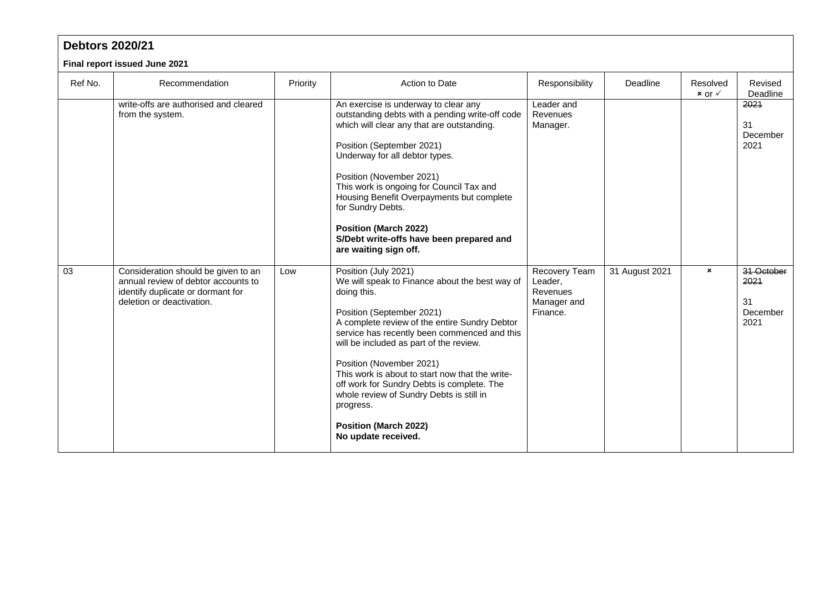| <b>Debtors 2020/21</b>        |                                                                                                                                              |          |                                                                                                                                                                                                                                                                                                                                                                                                                                                                                                             |                                                                 |                |                                 |                                              |  |  |
|-------------------------------|----------------------------------------------------------------------------------------------------------------------------------------------|----------|-------------------------------------------------------------------------------------------------------------------------------------------------------------------------------------------------------------------------------------------------------------------------------------------------------------------------------------------------------------------------------------------------------------------------------------------------------------------------------------------------------------|-----------------------------------------------------------------|----------------|---------------------------------|----------------------------------------------|--|--|
| Final report issued June 2021 |                                                                                                                                              |          |                                                                                                                                                                                                                                                                                                                                                                                                                                                                                                             |                                                                 |                |                                 |                                              |  |  |
| Ref No.                       | Recommendation                                                                                                                               | Priority | Action to Date                                                                                                                                                                                                                                                                                                                                                                                                                                                                                              | Responsibility                                                  | Deadline       | Resolved<br>$x$ or $\checkmark$ | Revised<br>Deadline                          |  |  |
|                               | write-offs are authorised and cleared<br>from the system.                                                                                    |          | An exercise is underway to clear any<br>outstanding debts with a pending write-off code<br>which will clear any that are outstanding.<br>Position (September 2021)<br>Underway for all debtor types.<br>Position (November 2021)<br>This work is ongoing for Council Tax and<br>Housing Benefit Overpayments but complete<br>for Sundry Debts.<br><b>Position (March 2022)</b><br>S/Debt write-offs have been prepared and<br>are waiting sign off.                                                         | Leader and<br>Revenues<br>Manager.                              |                |                                 | 2021<br>31<br>December<br>2021               |  |  |
| 03                            | Consideration should be given to an<br>annual review of debtor accounts to<br>identify duplicate or dormant for<br>deletion or deactivation. | Low      | Position (July 2021)<br>We will speak to Finance about the best way of<br>doing this.<br>Position (September 2021)<br>A complete review of the entire Sundry Debtor<br>service has recently been commenced and this<br>will be included as part of the review.<br>Position (November 2021)<br>This work is about to start now that the write-<br>off work for Sundry Debts is complete. The<br>whole review of Sundry Debts is still in<br>progress.<br><b>Position (March 2022)</b><br>No update received. | Recovery Team<br>Leader,<br>Revenues<br>Manager and<br>Finance. | 31 August 2021 | $\pmb{\times}$                  | 31 October<br>2021<br>31<br>December<br>2021 |  |  |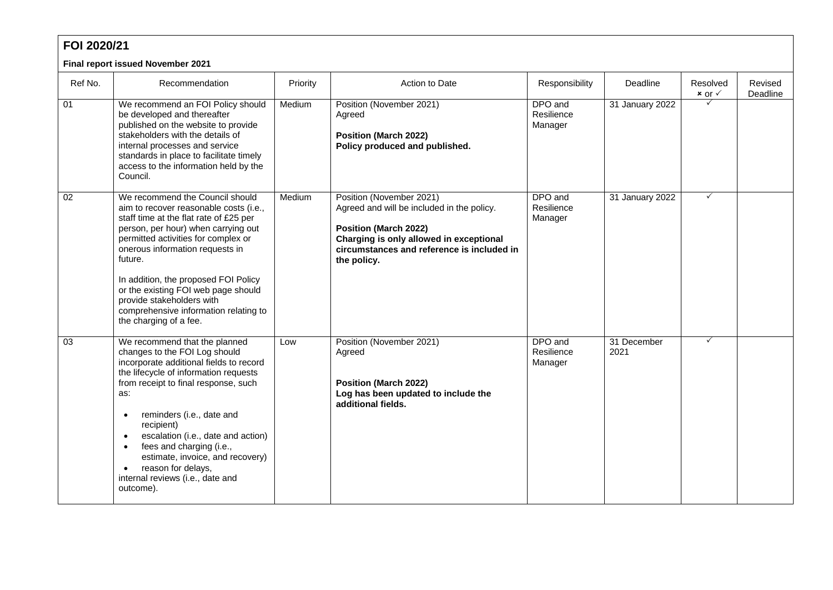| FOI 2020/21                       |                                                                                                                                                                                                                                                                                                                                                                                                                                                     |          |                                                                                                                                                                                                                |                                  |                     |                                 |                     |  |
|-----------------------------------|-----------------------------------------------------------------------------------------------------------------------------------------------------------------------------------------------------------------------------------------------------------------------------------------------------------------------------------------------------------------------------------------------------------------------------------------------------|----------|----------------------------------------------------------------------------------------------------------------------------------------------------------------------------------------------------------------|----------------------------------|---------------------|---------------------------------|---------------------|--|
| Final report issued November 2021 |                                                                                                                                                                                                                                                                                                                                                                                                                                                     |          |                                                                                                                                                                                                                |                                  |                     |                                 |                     |  |
| Ref No.                           | Recommendation                                                                                                                                                                                                                                                                                                                                                                                                                                      | Priority | Action to Date                                                                                                                                                                                                 | Responsibility                   | Deadline            | Resolved<br>$x$ or $\checkmark$ | Revised<br>Deadline |  |
| $\overline{01}$                   | We recommend an FOI Policy should<br>be developed and thereafter<br>published on the website to provide<br>stakeholders with the details of<br>internal processes and service<br>standards in place to facilitate timely<br>access to the information held by the<br>Council.                                                                                                                                                                       | Medium   | Position (November 2021)<br>Agreed<br><b>Position (March 2022)</b><br>Policy produced and published.                                                                                                           | DPO and<br>Resilience<br>Manager | 31 January 2022     |                                 |                     |  |
| $\overline{02}$                   | We recommend the Council should<br>aim to recover reasonable costs (i.e.,<br>staff time at the flat rate of £25 per<br>person, per hour) when carrying out<br>permitted activities for complex or<br>onerous information requests in<br>future.<br>In addition, the proposed FOI Policy<br>or the existing FOI web page should<br>provide stakeholders with<br>comprehensive information relating to<br>the charging of a fee.                      | Medium   | Position (November 2021)<br>Agreed and will be included in the policy.<br><b>Position (March 2022)</b><br>Charging is only allowed in exceptional<br>circumstances and reference is included in<br>the policy. | DPO and<br>Resilience<br>Manager | 31 January 2022     | $\checkmark$                    |                     |  |
| 03                                | We recommend that the planned<br>changes to the FOI Log should<br>incorporate additional fields to record<br>the lifecycle of information requests<br>from receipt to final response, such<br>as:<br>reminders (i.e., date and<br>$\bullet$<br>recipient)<br>escalation (i.e., date and action)<br>fees and charging (i.e.,<br>$\bullet$<br>estimate, invoice, and recovery)<br>reason for delays,<br>internal reviews (i.e., date and<br>outcome). | Low      | Position (November 2021)<br>Agreed<br><b>Position (March 2022)</b><br>Log has been updated to include the<br>additional fields.                                                                                | DPO and<br>Resilience<br>Manager | 31 December<br>2021 | $\checkmark$                    |                     |  |